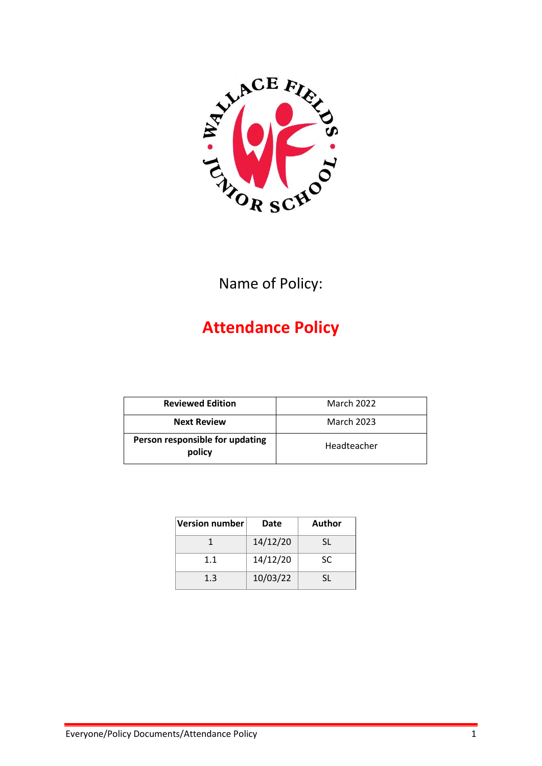

Name of Policy:

# **Attendance Policy**

| <b>Reviewed Edition</b>                   | <b>March 2022</b> |
|-------------------------------------------|-------------------|
| <b>Next Review</b>                        | <b>March 2023</b> |
| Person responsible for updating<br>policy | Headteacher       |

| <b>Version number</b> | Date     | Author |
|-----------------------|----------|--------|
|                       | 14/12/20 | SL.    |
| 1.1                   | 14/12/20 | SC     |
| 1.3                   | 10/03/22 | SL.    |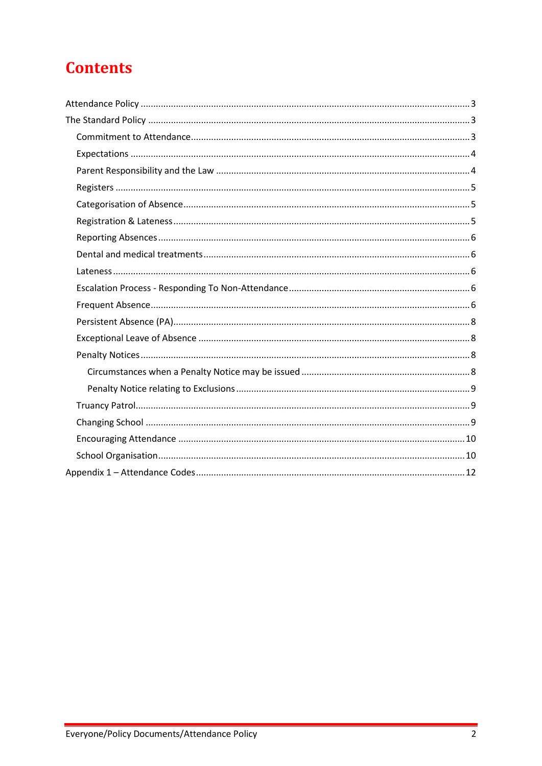# **Contents**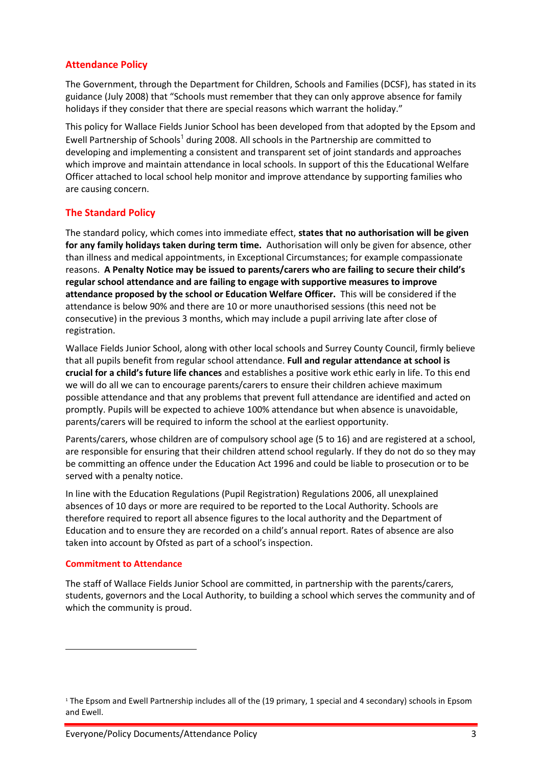## <span id="page-2-0"></span>**Attendance Policy**

The Government, through the Department for Children, Schools and Families (DCSF), has stated in its guidance (July 2008) that "Schools must remember that they can only approve absence for family holidays if they consider that there are special reasons which warrant the holiday."

This policy for Wallace Fields Junior School has been developed from that adopted by the Epsom and Ewell Partnership of Schools<sup>1</sup> during 2008. All schools in the Partnership are committed to developing and implementing a consistent and transparent set of joint standards and approaches which improve and maintain attendance in local schools. In support of this the Educational Welfare Officer attached to local school help monitor and improve attendance by supporting families who are causing concern.

# <span id="page-2-1"></span>**The Standard Policy**

The standard policy, which comes into immediate effect, **states that no authorisation will be given for any family holidays taken during term time.** Authorisation will only be given for absence, other than illness and medical appointments, in Exceptional Circumstances; for example compassionate reasons. **A Penalty Notice may be issued to parents/carers who are failing to secure their child's regular school attendance and are failing to engage with supportive measures to improve attendance proposed by the school or Education Welfare Officer.** This will be considered if the attendance is below 90% and there are 10 or more unauthorised sessions (this need not be consecutive) in the previous 3 months, which may include a pupil arriving late after close of registration.

Wallace Fields Junior School, along with other local schools and Surrey County Council, firmly believe that all pupils benefit from regular school attendance. **Full and regular attendance at school is crucial for a child's future life chances** and establishes a positive work ethic early in life. To this end we will do all we can to encourage parents/carers to ensure their children achieve maximum possible attendance and that any problems that prevent full attendance are identified and acted on promptly. Pupils will be expected to achieve 100% attendance but when absence is unavoidable, parents/carers will be required to inform the school at the earliest opportunity.

Parents/carers, whose children are of compulsory school age (5 to 16) and are registered at a school, are responsible for ensuring that their children attend school regularly. If they do not do so they may be committing an offence under the Education Act 1996 and could be liable to prosecution or to be served with a penalty notice.

In line with the Education Regulations (Pupil Registration) Regulations 2006, all unexplained absences of 10 days or more are required to be reported to the Local Authority. Schools are therefore required to report all absence figures to the local authority and the Department of Education and to ensure they are recorded on a child's annual report. Rates of absence are also taken into account by Ofsted as part of a school's inspection.

## <span id="page-2-2"></span>**Commitment to Attendance**

**.** 

The staff of Wallace Fields Junior School are committed, in partnership with the parents/carers, students, governors and the Local Authority, to building a school which serves the community and of which the community is proud.

<sup>1</sup> The Epsom and Ewell Partnership includes all of the (19 primary, 1 special and 4 secondary) schools in Epsom and Ewell.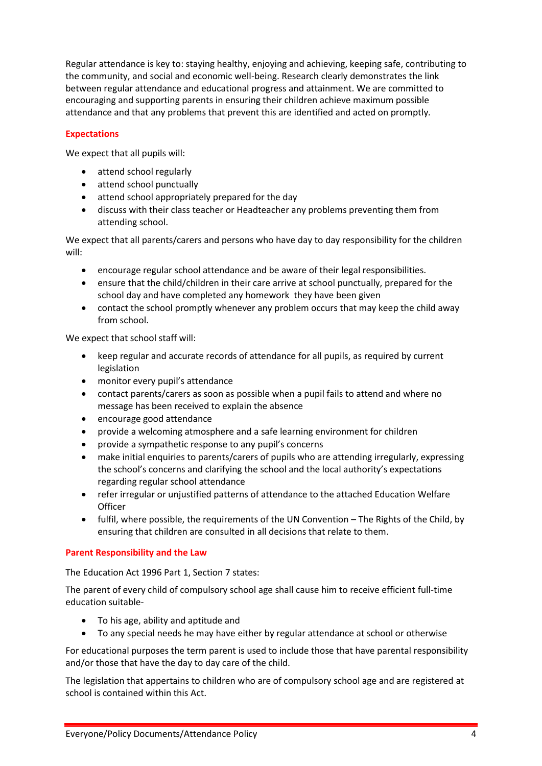Regular attendance is key to: staying healthy, enjoying and achieving, keeping safe, contributing to the community, and social and economic well-being. Research clearly demonstrates the link between regular attendance and educational progress and attainment. We are committed to encouraging and supporting parents in ensuring their children achieve maximum possible attendance and that any problems that prevent this are identified and acted on promptly*.*

## <span id="page-3-0"></span>**Expectations**

We expect that all pupils will:

- attend school regularly
- attend school punctually
- attend school appropriately prepared for the day
- discuss with their class teacher or Headteacher any problems preventing them from attending school.

We expect that all parents/carers and persons who have day to day responsibility for the children will:

- encourage regular school attendance and be aware of their legal responsibilities.
- ensure that the child/children in their care arrive at school punctually, prepared for the school day and have completed any homework they have been given
- contact the school promptly whenever any problem occurs that may keep the child away from school.

We expect that school staff will:

- keep regular and accurate records of attendance for all pupils, as required by current legislation
- monitor every pupil's attendance
- contact parents/carers as soon as possible when a pupil fails to attend and where no message has been received to explain the absence
- encourage good attendance
- provide a welcoming atmosphere and a safe learning environment for children
- provide a sympathetic response to any pupil's concerns
- make initial enquiries to parents/carers of pupils who are attending irregularly, expressing the school's concerns and clarifying the school and the local authority's expectations regarding regular school attendance
- refer irregular or unjustified patterns of attendance to the attached Education Welfare **Officer**
- fulfil, where possible, the requirements of the UN Convention The Rights of the Child, by ensuring that children are consulted in all decisions that relate to them.

## <span id="page-3-1"></span>**Parent Responsibility and the Law**

The Education Act 1996 Part 1, Section 7 states:

The parent of every child of compulsory school age shall cause him to receive efficient full-time education suitable-

- To his age, ability and aptitude and
- To any special needs he may have either by regular attendance at school or otherwise

For educational purposes the term parent is used to include those that have parental responsibility and/or those that have the day to day care of the child.

The legislation that appertains to children who are of compulsory school age and are registered at school is contained within this Act.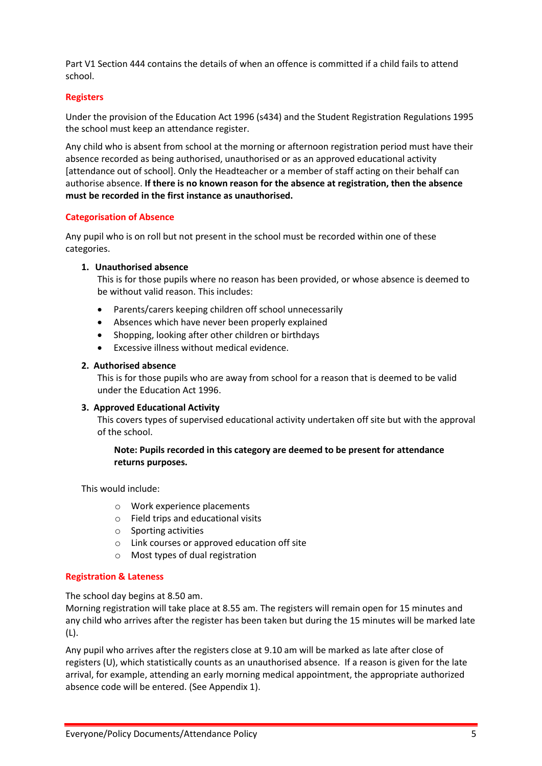Part V1 Section 444 contains the details of when an offence is committed if a child fails to attend school.

## <span id="page-4-0"></span>**Registers**

Under the provision of the Education Act 1996 (s434) and the Student Registration Regulations 1995 the school must keep an attendance register.

Any child who is absent from school at the morning or afternoon registration period must have their absence recorded as being authorised, unauthorised or as an approved educational activity [attendance out of school]. Only the Headteacher or a member of staff acting on their behalf can authorise absence. **If there is no known reason for the absence at registration, then the absence must be recorded in the first instance as unauthorised.**

## <span id="page-4-1"></span>**Categorisation of Absence**

Any pupil who is on roll but not present in the school must be recorded within one of these categories.

## **1. Unauthorised absence**

This is for those pupils where no reason has been provided, or whose absence is deemed to be without valid reason. This includes:

- Parents/carers keeping children off school unnecessarily
- Absences which have never been properly explained
- Shopping, looking after other children or birthdays
- Excessive illness without medical evidence.

## **2. Authorised absence**

This is for those pupils who are away from school for a reason that is deemed to be valid under the Education Act 1996.

## **3. Approved Educational Activity**

This covers types of supervised educational activity undertaken off site but with the approval of the school.

## **Note: Pupils recorded in this category are deemed to be present for attendance returns purposes.**

This would include:

- o Work experience placements
- o Field trips and educational visits
- o Sporting activities
- o Link courses or approved education off site
- o Most types of dual registration

## <span id="page-4-2"></span>**Registration & Lateness**

The school day begins at 8.50 am.

Morning registration will take place at 8.55 am. The registers will remain open for 15 minutes and any child who arrives after the register has been taken but during the 15 minutes will be marked late (L).

Any pupil who arrives after the registers close at 9.10 am will be marked as late after close of registers (U), which statistically counts as an unauthorised absence. If a reason is given for the late arrival, for example, attending an early morning medical appointment, the appropriate authorized absence code will be entered. (See Appendix 1).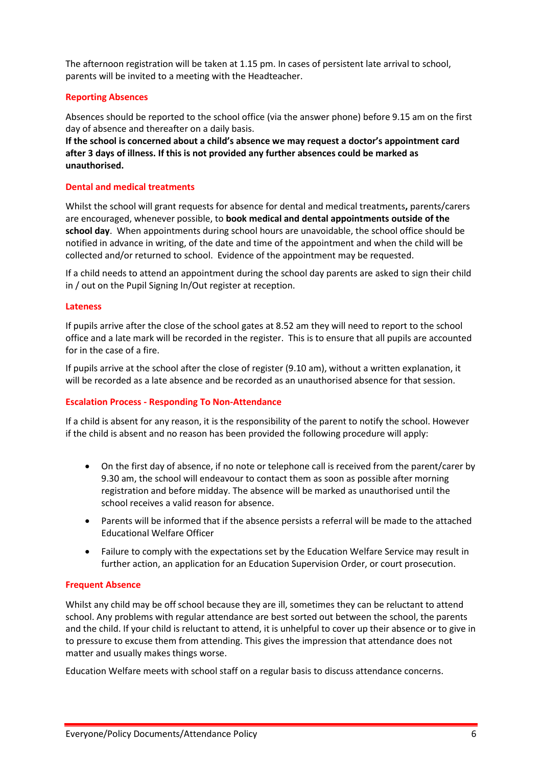The afternoon registration will be taken at 1.15 pm. In cases of persistent late arrival to school, parents will be invited to a meeting with the Headteacher.

## <span id="page-5-0"></span>**Reporting Absences**

Absences should be reported to the school office (via the answer phone) before 9.15 am on the first day of absence and thereafter on a daily basis.

**If the school is concerned about a child's absence we may request a doctor's appointment card after 3 days of illness. If this is not provided any further absences could be marked as unauthorised.**

## <span id="page-5-1"></span>**Dental and medical treatments**

Whilst the school will grant requests for absence for dental and medical treatments**,** parents/carers are encouraged, whenever possible, to **book medical and dental appointments outside of the school day**. When appointments during school hours are unavoidable, the school office should be notified in advance in writing, of the date and time of the appointment and when the child will be collected and/or returned to school. Evidence of the appointment may be requested.

If a child needs to attend an appointment during the school day parents are asked to sign their child in / out on the Pupil Signing In/Out register at reception.

## <span id="page-5-2"></span>**Lateness**

If pupils arrive after the close of the school gates at 8.52 am they will need to report to the school office and a late mark will be recorded in the register. This is to ensure that all pupils are accounted for in the case of a fire.

If pupils arrive at the school after the close of register (9.10 am), without a written explanation, it will be recorded as a late absence and be recorded as an unauthorised absence for that session.

## <span id="page-5-3"></span>**Escalation Process - Responding To Non-Attendance**

If a child is absent for any reason, it is the responsibility of the parent to notify the school. However if the child is absent and no reason has been provided the following procedure will apply:

- On the first day of absence, if no note or telephone call is received from the parent/carer by 9.30 am, the school will endeavour to contact them as soon as possible after morning registration and before midday. The absence will be marked as unauthorised until the school receives a valid reason for absence.
- Parents will be informed that if the absence persists a referral will be made to the attached Educational Welfare Officer
- Failure to comply with the expectations set by the Education Welfare Service may result in further action, an application for an Education Supervision Order, or court prosecution.

## <span id="page-5-4"></span>**Frequent Absence**

Whilst any child may be off school because they are ill, sometimes they can be reluctant to attend school. Any problems with regular attendance are best sorted out between the school, the parents and the child. If your child is reluctant to attend, it is unhelpful to cover up their absence or to give in to pressure to excuse them from attending. This gives the impression that attendance does not matter and usually makes things worse.

Education Welfare meets with school staff on a regular basis to discuss attendance concerns.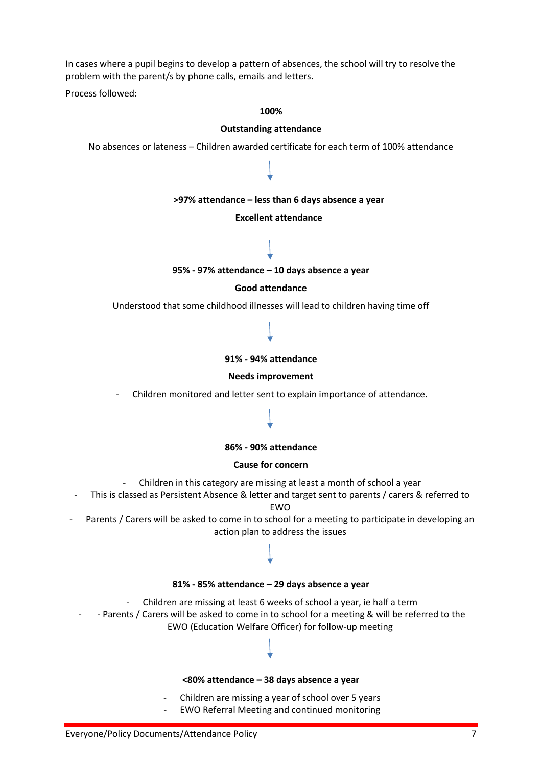In cases where a pupil begins to develop a pattern of absences, the school will try to resolve the problem with the parent/s by phone calls, emails and letters.

Process followed:

#### **100%**

#### **Outstanding attendance**

No absences or lateness – Children awarded certificate for each term of 100% attendance

#### **>97% attendance – less than 6 days absence a year**

#### **Excellent attendance**



#### **95% - 97% attendance – 10 days absence a year**

#### **Good attendance**

Understood that some childhood illnesses will lead to children having time off

#### **91% - 94% attendance**

#### **Needs improvement**

- Children monitored and letter sent to explain importance of attendance.

#### **86% - 90% attendance**

#### **Cause for concern**

- Children in this category are missing at least a month of school a year
- This is classed as Persistent Absence & letter and target sent to parents / carers & referred to EWO
- Parents / Carers will be asked to come in to school for a meeting to participate in developing an action plan to address the issues

#### **81% - 85% attendance – 29 days absence a year**

- Children are missing at least 6 weeks of school a year, ie half a term
- - Parents / Carers will be asked to come in to school for a meeting & will be referred to the EWO (Education Welfare Officer) for follow-up meeting

#### **<80% attendance – 38 days absence a year**

- Children are missing a year of school over 5 years
- EWO Referral Meeting and continued monitoring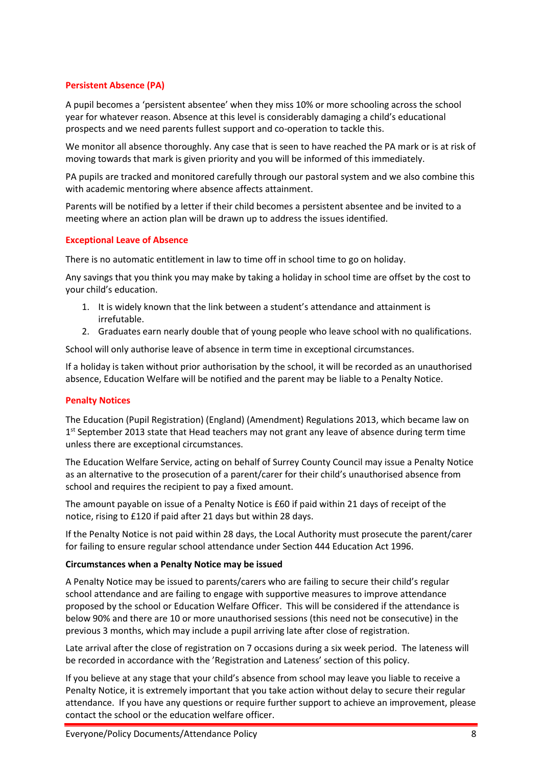## <span id="page-7-0"></span>**Persistent Absence (PA)**

A pupil becomes a 'persistent absentee' when they miss 10% or more schooling across the school year for whatever reason. Absence at this level is considerably damaging a child's educational prospects and we need parents fullest support and co-operation to tackle this.

We monitor all absence thoroughly. Any case that is seen to have reached the PA mark or is at risk of moving towards that mark is given priority and you will be informed of this immediately.

PA pupils are tracked and monitored carefully through our pastoral system and we also combine this with academic mentoring where absence affects attainment.

Parents will be notified by a letter if their child becomes a persistent absentee and be invited to a meeting where an action plan will be drawn up to address the issues identified.

## <span id="page-7-1"></span>**Exceptional Leave of Absence**

There is no automatic entitlement in law to time off in school time to go on holiday.

Any savings that you think you may make by taking a holiday in school time are offset by the cost to your child's education.

- 1. It is widely known that the link between a student's attendance and attainment is irrefutable.
- 2. Graduates earn nearly double that of young people who leave school with no qualifications.

School will only authorise leave of absence in term time in exceptional circumstances.

If a holiday is taken without prior authorisation by the school, it will be recorded as an unauthorised absence, Education Welfare will be notified and the parent may be liable to a Penalty Notice.

## <span id="page-7-2"></span>**Penalty Notices**

The Education (Pupil Registration) (England) (Amendment) Regulations 2013, which became law on 1<sup>st</sup> September 2013 state that Head teachers may not grant any leave of absence during term time unless there are exceptional circumstances.

The Education Welfare Service, acting on behalf of Surrey County Council may issue a Penalty Notice as an alternative to the prosecution of a parent/carer for their child's unauthorised absence from school and requires the recipient to pay a fixed amount.

The amount payable on issue of a Penalty Notice is £60 if paid within 21 days of receipt of the notice, rising to £120 if paid after 21 days but within 28 days.

If the Penalty Notice is not paid within 28 days, the Local Authority must prosecute the parent/carer for failing to ensure regular school attendance under Section 444 Education Act 1996.

#### <span id="page-7-3"></span>**Circumstances when a Penalty Notice may be issued**

A Penalty Notice may be issued to parents/carers who are failing to secure their child's regular school attendance and are failing to engage with supportive measures to improve attendance proposed by the school or Education Welfare Officer. This will be considered if the attendance is below 90% and there are 10 or more unauthorised sessions (this need not be consecutive) in the previous 3 months, which may include a pupil arriving late after close of registration.

Late arrival after the close of registration on 7 occasions during a six week period. The lateness will be recorded in accordance with the 'Registration and Lateness' section of this policy.

If you believe at any stage that your child's absence from school may leave you liable to receive a Penalty Notice, it is extremely important that you take action without delay to secure their regular attendance. If you have any questions or require further support to achieve an improvement, please contact the school or the education welfare officer.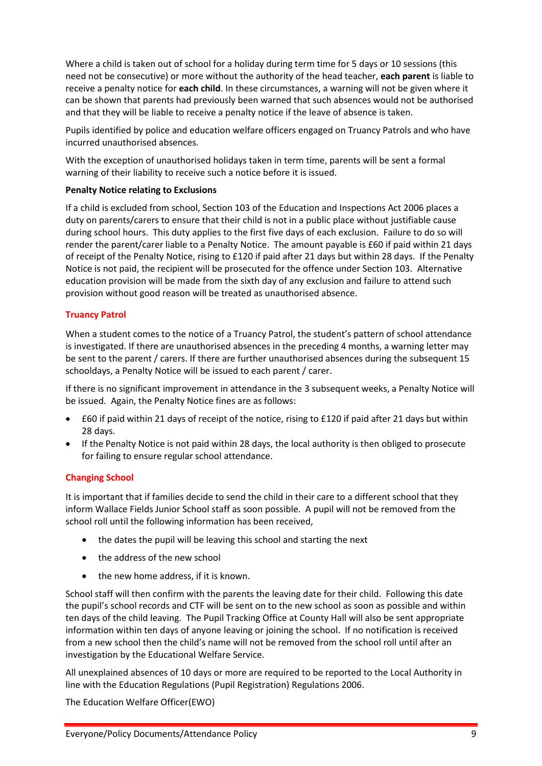Where a child is taken out of school for a holiday during term time for 5 days or 10 sessions (this need not be consecutive) or more without the authority of the head teacher, **each parent** is liable to receive a penalty notice for **each child**. In these circumstances, a warning will not be given where it can be shown that parents had previously been warned that such absences would not be authorised and that they will be liable to receive a penalty notice if the leave of absence is taken.

Pupils identified by police and education welfare officers engaged on Truancy Patrols and who have incurred unauthorised absences.

With the exception of unauthorised holidays taken in term time, parents will be sent a formal warning of their liability to receive such a notice before it is issued.

## <span id="page-8-0"></span>**Penalty Notice relating to Exclusions**

If a child is excluded from school, Section 103 of the Education and Inspections Act 2006 places a duty on parents/carers to ensure that their child is not in a public place without justifiable cause during school hours. This duty applies to the first five days of each exclusion. Failure to do so will render the parent/carer liable to a Penalty Notice. The amount payable is £60 if paid within 21 days of receipt of the Penalty Notice, rising to £120 if paid after 21 days but within 28 days. If the Penalty Notice is not paid, the recipient will be prosecuted for the offence under Section 103. Alternative education provision will be made from the sixth day of any exclusion and failure to attend such provision without good reason will be treated as unauthorised absence.

## <span id="page-8-1"></span>**Truancy Patrol**

When a student comes to the notice of a Truancy Patrol, the student's pattern of school attendance is investigated. If there are unauthorised absences in the preceding 4 months, a warning letter may be sent to the parent / carers. If there are further unauthorised absences during the subsequent 15 schooldays, a Penalty Notice will be issued to each parent / carer.

If there is no significant improvement in attendance in the 3 subsequent weeks, a Penalty Notice will be issued. Again, the Penalty Notice fines are as follows:

- £60 if paid within 21 days of receipt of the notice, rising to £120 if paid after 21 days but within 28 days.
- If the Penalty Notice is not paid within 28 days, the local authority is then obliged to prosecute for failing to ensure regular school attendance.

## <span id="page-8-2"></span>**Changing School**

It is important that if families decide to send the child in their care to a different school that they inform Wallace Fields Junior School staff as soon possible. A pupil will not be removed from the school roll until the following information has been received,

- the dates the pupil will be leaving this school and starting the next
- the address of the new school
- the new home address, if it is known.

School staff will then confirm with the parents the leaving date for their child. Following this date the pupil's school records and CTF will be sent on to the new school as soon as possible and within ten days of the child leaving. The Pupil Tracking Office at County Hall will also be sent appropriate information within ten days of anyone leaving or joining the school. If no notification is received from a new school then the child's name will not be removed from the school roll until after an investigation by the Educational Welfare Service.

All unexplained absences of 10 days or more are required to be reported to the Local Authority in line with the Education Regulations (Pupil Registration) Regulations 2006.

The Education Welfare Officer(EWO)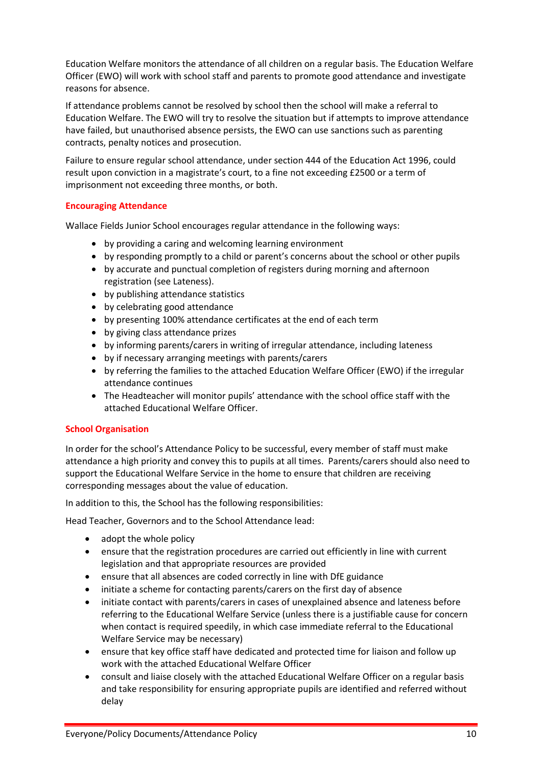Education Welfare monitors the attendance of all children on a regular basis. The Education Welfare Officer (EWO) will work with school staff and parents to promote good attendance and investigate reasons for absence.

If attendance problems cannot be resolved by school then the school will make a referral to Education Welfare. The EWO will try to resolve the situation but if attempts to improve attendance have failed, but unauthorised absence persists, the EWO can use sanctions such as parenting contracts, penalty notices and prosecution.

Failure to ensure regular school attendance, under section 444 of the Education Act 1996, could result upon conviction in a magistrate's court, to a fine not exceeding £2500 or a term of imprisonment not exceeding three months, or both.

## <span id="page-9-0"></span>**Encouraging Attendance**

Wallace Fields Junior School encourages regular attendance in the following ways:

- by providing a caring and welcoming learning environment
- by responding promptly to a child or parent's concerns about the school or other pupils
- by accurate and punctual completion of registers during morning and afternoon registration (see Lateness).
- by publishing attendance statistics
- by celebrating good attendance
- by presenting 100% attendance certificates at the end of each term
- by giving class attendance prizes
- by informing parents/carers in writing of irregular attendance, including lateness
- by if necessary arranging meetings with parents/carers
- by referring the families to the attached Education Welfare Officer (EWO) if the irregular attendance continues
- The Headteacher will monitor pupils' attendance with the school office staff with the attached Educational Welfare Officer.

## <span id="page-9-1"></span>**School Organisation**

In order for the school's Attendance Policy to be successful, every member of staff must make attendance a high priority and convey this to pupils at all times. Parents/carers should also need to support the Educational Welfare Service in the home to ensure that children are receiving corresponding messages about the value of education.

In addition to this, the School has the following responsibilities:

Head Teacher, Governors and to the School Attendance lead:

- adopt the whole policy
- ensure that the registration procedures are carried out efficiently in line with current legislation and that appropriate resources are provided
- ensure that all absences are coded correctly in line with DfE guidance
- initiate a scheme for contacting parents/carers on the first day of absence
- initiate contact with parents/carers in cases of unexplained absence and lateness before referring to the Educational Welfare Service (unless there is a justifiable cause for concern when contact is required speedily, in which case immediate referral to the Educational Welfare Service may be necessary)
- ensure that key office staff have dedicated and protected time for liaison and follow up work with the attached Educational Welfare Officer
- consult and liaise closely with the attached Educational Welfare Officer on a regular basis and take responsibility for ensuring appropriate pupils are identified and referred without delay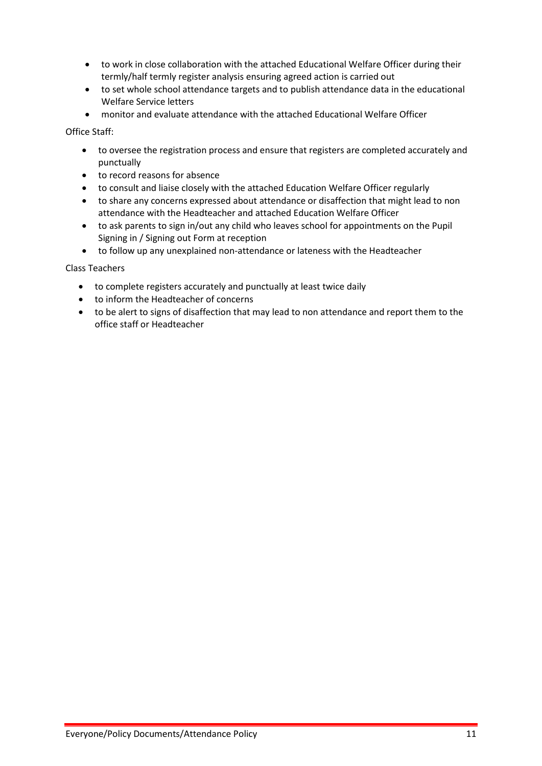- to work in close collaboration with the attached Educational Welfare Officer during their termly/half termly register analysis ensuring agreed action is carried out
- to set whole school attendance targets and to publish attendance data in the educational Welfare Service letters
- monitor and evaluate attendance with the attached Educational Welfare Officer

Office Staff:

- to oversee the registration process and ensure that registers are completed accurately and punctually
- to record reasons for absence
- to consult and liaise closely with the attached Education Welfare Officer regularly
- to share any concerns expressed about attendance or disaffection that might lead to non attendance with the Headteacher and attached Education Welfare Officer
- to ask parents to sign in/out any child who leaves school for appointments on the Pupil Signing in / Signing out Form at reception
- to follow up any unexplained non-attendance or lateness with the Headteacher

Class Teachers

- to complete registers accurately and punctually at least twice daily
- to inform the Headteacher of concerns
- to be alert to signs of disaffection that may lead to non attendance and report them to the office staff or Headteacher